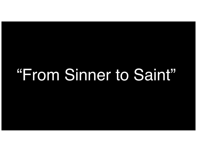# "From Sinner to Saint"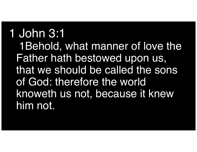### 1 John 3:1 1Behold, what manner of love the Father hath bestowed upon us, that we should be called the sons of God: therefore the world knoweth us not, because it knew him not.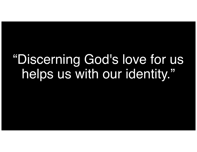## "Discerning God's love for us helps us with our identity."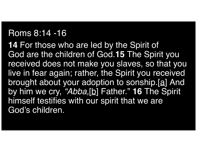#### Roms 8:14 -16

**14** For those who are led by the Spirit of God are the children of God.**15** The Spirit you received does not make you slaves, so that you live in fear again; rather, the Spirit you received brought about your adoption to sonship.[<u>a]</u> And by him we cry, *"Abba,* [ b ] Father." **16** The Spirit himself testifies with our spirit that we are God's children.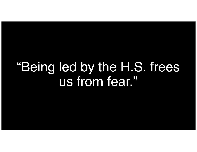### "Being led by the H.S. frees us from fear."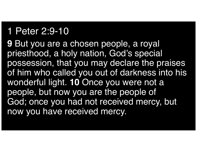#### 1 Peter 2:9-10

**9** But you are a chosen people, a royal priesthood, a holy nation, God's special possession, that you may declare the praises of him who called you out of darkness into his wonderful light. **10** Once you were not a people, but now you are the people of God; once you had not received mercy, but now you have received mercy.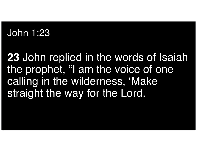### John 1:23

**23** John replied in the words of Isaiah the prophet, "I am the voice of one calling in the wilderness, 'Make straight the way for the Lord.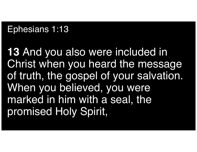#### Ephesians 1:13

**13** And you also were included in Christ when you heard the message of truth, the gospel of your salvation. When you believed, you were marked in him with a seal, the promised Holy Spirit,